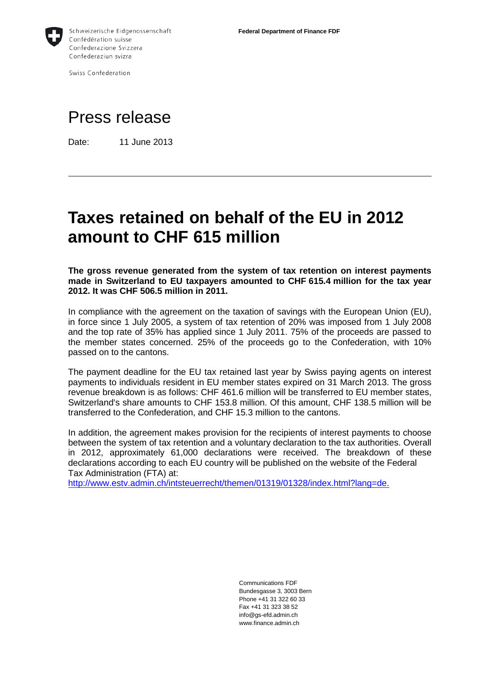

Swiss Confederation

## Press release

Date: 11 June 2013

## **Taxes retained on behalf of the EU in 2012 amount to CHF 615 million**

**The gross revenue generated from the system of tax retention on interest payments made in Switzerland to EU taxpayers amounted to CHF 615.4 million for the tax year 2012. It was CHF 506.5 million in 2011.** 

In compliance with the agreement on the taxation of savings with the European Union (EU), in force since 1 July 2005, a system of tax retention of 20% was imposed from 1 July 2008 and the top rate of 35% has applied since 1 July 2011. 75% of the proceeds are passed to the member states concerned. 25% of the proceeds go to the Confederation, with 10% passed on to the cantons.

The payment deadline for the EU tax retained last year by Swiss paying agents on interest payments to individuals resident in EU member states expired on 31 March 2013. The gross revenue breakdown is as follows: CHF 461.6 million will be transferred to EU member states, Switzerland's share amounts to CHF 153.8 million. Of this amount, CHF 138.5 million will be transferred to the Confederation, and CHF 15.3 million to the cantons.

In addition, the agreement makes provision for the recipients of interest payments to choose between the system of tax retention and a voluntary declaration to the tax authorities. Overall in 2012, approximately 61,000 declarations were received. The breakdown of these declarations according to each EU country will be published on the website of the Federal Tax Administration (FTA) at:

[http://www.estv.admin.ch/intsteuerrecht/themen/01319/01328/index.html?lang=de.](http://www.estv.admin.ch/intsteuerrecht/themen/01319/01328/index.html?lang=de)

Communications FDF Bundesgasse 3, 3003 Bern Phone +41 31 322 60 33 Fax +41 31 323 38 52 info@gs-efd.admin.ch www.finance.admin.ch